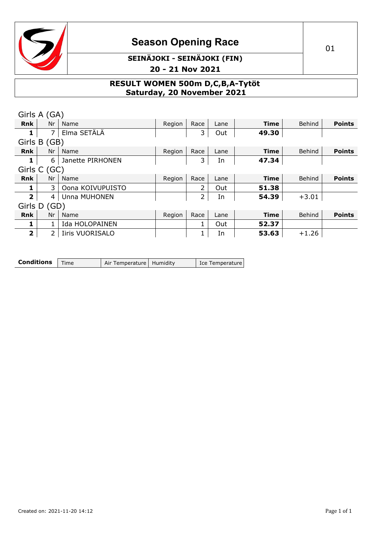

### **SEINÄJOKI - SEINÄJOKI (FIN) 20 - 21 Nov 2021**

**RESULT WOMEN 500m D,C,B,A-Tytöt Saturday, 20 November 2021**

| Girls A (GA)            |                |                        |        |                              |      |             |         |               |
|-------------------------|----------------|------------------------|--------|------------------------------|------|-------------|---------|---------------|
| <b>Rnk</b>              | Nr             | Name                   | Region | Race                         | Lane | <b>Time</b> | Behind  | <b>Points</b> |
| 1                       | $\overline{7}$ | Elma SETÄLÄ            |        | 3                            | Out  | 49.30       |         |               |
|                         | Girls B (GB)   |                        |        |                              |      |             |         |               |
| <b>Rnk</b>              | Nr             | Name                   | Region | Race                         | Lane | <b>Time</b> | Behind  | <b>Points</b> |
| 1                       | 6              | Janette PIRHONEN       |        | 3                            | In   | 47.34       |         |               |
|                         | Girls C (GC)   |                        |        |                              |      |             |         |               |
| <b>Rnk</b>              | Nr             | Name                   | Region | Race                         | Lane | <b>Time</b> | Behind  | <b>Points</b> |
|                         | 3.             | Oona KOIVUPUISTO       |        | $\overline{2}$               | Out  | 51.38       |         |               |
| $\overline{2}$          | 4              | Unna MUHONEN           |        | $\overline{2}$               | In   | 54.39       | $+3.01$ |               |
| Girls D                 | (GD)           |                        |        |                              |      |             |         |               |
| <b>Rnk</b>              | Nr             | Name                   | Region | Race                         | Lane | <b>Time</b> | Behind  | <b>Points</b> |
| 1                       | $\mathbf{1}$   | Ida HOLOPAINEN         |        | $1\overline{ }$              | Out  | 52.37       |         |               |
| $\overline{\mathbf{2}}$ | $\overline{2}$ | <b>Iiris VUORISALO</b> |        | $1 \ \overline{\phantom{1}}$ | In   | 53.63       | $+1.26$ |               |
|                         |                |                        |        |                              |      |             |         |               |

| <b>Conditions</b> $\vert$ Time | Air Temperature   Humidity | Ice Temperature |
|--------------------------------|----------------------------|-----------------|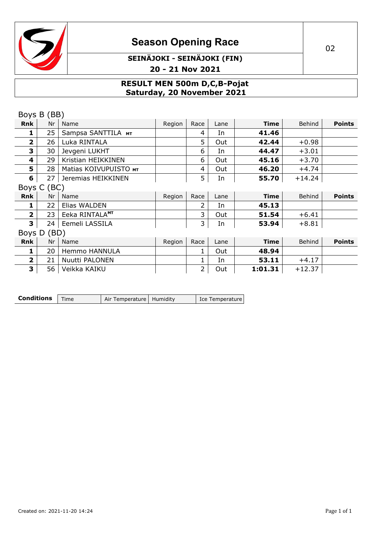

### **SEINÄJOKI - SEINÄJOKI (FIN) 20 - 21 Nov 2021**

#### **RESULT MEN 500m D,C,B-Pojat Saturday, 20 November 2021**

| Boys B (BB)    |             |                            |        |      |      |             |          |               |
|----------------|-------------|----------------------------|--------|------|------|-------------|----------|---------------|
| <b>Rnk</b>     | Nr          | Name                       | Region | Race | Lane | <b>Time</b> | Behind   | <b>Points</b> |
| 1              | 25          | Sampsa SANTTILA MT         |        | 4    | In   | 41.46       |          |               |
| $\mathbf{2}$   | 26          | Luka RINTALA               |        | 5    | Out  | 42.44       | $+0.98$  |               |
| 3              | 30          | Jevgeni LUKHT              |        | 6    | In   | 44.47       | $+3.01$  |               |
| 4              | 29          | Kristian HEIKKINEN         |        | 6    | Out  | 45.16       | $+3.70$  |               |
| 5              | 28          | Matias KOIVUPUISTO MT      |        | 4    | Out  | 46.20       | $+4.74$  |               |
| 6              | 27          | Jeremias HEIKKINEN         |        | 5    | In   | 55.70       | $+14.24$ |               |
| Boys C (BC)    |             |                            |        |      |      |             |          |               |
| Rnk            | Nr          | Name                       | Region | Race | Lane | <b>Time</b> | Behind   | <b>Points</b> |
|                |             |                            |        |      |      |             |          |               |
| 1              | 22          | Elias WALDEN               |        |      | In   | 45.13       |          |               |
| $\overline{2}$ | 23          | Eeka RINTALA <sup>MT</sup> |        | 3.   | Out  | 51.54       | $+6.41$  |               |
| 3              | 24          | Eemeli LASSILA             |        | 3    | In   | 53.94       | $+8.81$  |               |
|                | Boys D (BD) |                            |        |      |      |             |          |               |
| <b>Rnk</b>     | Nr          | Name                       | Region | Race | Lane | <b>Time</b> | Behind   | <b>Points</b> |
| 1              | 20          | Hemmo HANNULA              |        |      | Out  | 48.94       |          |               |
| $\mathbf{2}$   | 21          | Nuutti PALONEN             |        |      | In   | 53.11       | $+4.17$  |               |

| <b>Conditions</b> $\mathsf{Time}$ |  | Air Temperature   Humidity |  | Ice Temperature |
|-----------------------------------|--|----------------------------|--|-----------------|
|-----------------------------------|--|----------------------------|--|-----------------|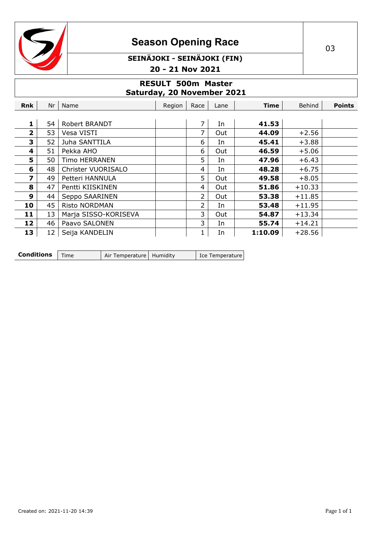

### **SEINÄJOKI - SEINÄJOKI (FIN) 20 - 21 Nov 2021**

#### **RESULT 500m Master Saturday, 20 November 2021**

| Rnk          | Nr | Name                 | Region | Race | Lane | <b>Time</b> | Behind   | <b>Points</b> |
|--------------|----|----------------------|--------|------|------|-------------|----------|---------------|
|              |    |                      |        |      |      |             |          |               |
| 1            | 54 | Robert BRANDT        |        | 7    | In   | 41.53       |          |               |
| $\mathbf{2}$ | 53 | Vesa VISTI           |        | 7    | Out  | 44.09       | $+2.56$  |               |
| 3            | 52 | Juha SANTTILA        |        | 6    | In   | 45.41       | $+3.88$  |               |
| 4            | 51 | Pekka AHO            |        | 6    | Out  | 46.59       | $+5.06$  |               |
| 5            | 50 | <b>Timo HERRANEN</b> |        | 5    | In   | 47.96       | $+6.43$  |               |
| 6            | 48 | Christer VUORISALO   |        | 4    | In   | 48.28       | $+6.75$  |               |
| 7            | 49 | Petteri HANNULA      |        | 5    | Out  | 49.58       | $+8.05$  |               |
| 8            | 47 | Pentti KIISKINEN     |        | 4    | Out  | 51.86       | $+10.33$ |               |
| 9            | 44 | Seppo SAARINEN       |        | 2    | Out  | 53.38       | $+11.85$ |               |
| 10           | 45 | <b>Risto NORDMAN</b> |        | 2    | In   | 53.48       | $+11.95$ |               |
| 11           | 13 | Marja SISSO-KORISEVA |        | 3    | Out  | 54.87       | $+13.34$ |               |
| 12           | 46 | Paavo SALONEN        |        | 3    | In   | 55.74       | $+14.21$ |               |
| 13           | 12 | Seija KANDELIN       |        |      | In   | 1:10.09     | $+28.56$ |               |

| <b>Conditions</b>   Time |  | Air Temperature   Humidity |  | Ice Temperature |
|--------------------------|--|----------------------------|--|-----------------|
|--------------------------|--|----------------------------|--|-----------------|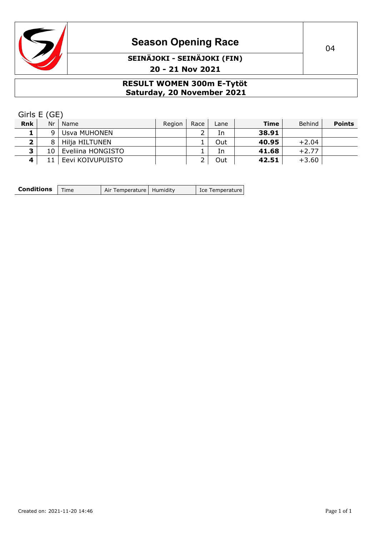

# **Season Opening Race** 2021 2022

### **SEINÄJOKI - SEINÄJOKI (FIN) 20 - 21 Nov 2021**

#### **RESULT WOMEN 300m E-Tytöt Saturday, 20 November 2021**

Girls E (GE)

| <b>Rnk</b> | Nr  | Name              | Region | Race | Lane | <b>Time</b> | Behind  | <b>Points</b> |
|------------|-----|-------------------|--------|------|------|-------------|---------|---------------|
|            | q   | Usva MUHONEN      |        |      | In   | 38.91       |         |               |
| ∍          | 8   | Hilja HILTUNEN    |        |      | Out  | 40.95       | $+2.04$ |               |
| <u> Э</u>  | 10. | Eveliina HONGISTO |        |      | 1n   | 41.68       | $+2.77$ |               |
| 4          |     | Eevi KOIVUPUISTO  |        |      | Out  | 42.51       | $+3.60$ |               |

| <b>Conditions</b>   Time | Air Temperature   Humidity | Ice Temperature |
|--------------------------|----------------------------|-----------------|
|                          |                            |                 |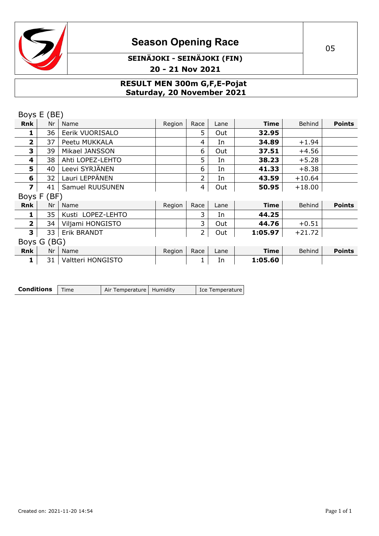

### **SEINÄJOKI - SEINÄJOKI (FIN) 20 - 21 Nov 2021**

#### **RESULT MEN 300m G,F,E-Pojat Saturday, 20 November 2021**

|              | Boys E (BE) |                   |        |      |      |             |          |               |
|--------------|-------------|-------------------|--------|------|------|-------------|----------|---------------|
| <b>Rnk</b>   | Nr          | Name              | Region | Race | Lane | <b>Time</b> | Behind   | <b>Points</b> |
|              | 36          | Eerik VUORISALO   |        | 5    | Out  | 32.95       |          |               |
| $\mathbf{z}$ | 37          | Peetu MUKKALA     |        | 4    | In   | 34.89       | $+1.94$  |               |
| 3            | 39          | Mikael JANSSON    |        | 6    | Out  | 37.51       | $+4.56$  |               |
| 4            | 38          | Ahti LOPEZ-LEHTO  |        | 5    | In   | 38.23       | $+5.28$  |               |
| 5            | 40          | Leevi SYRJÄNEN    |        | 6    | In   | 41.33       | $+8.38$  |               |
| 6            | 32          | Lauri LEPPÄNEN    |        | 2    | In   | 43.59       | $+10.64$ |               |
| 7            | 41          | Samuel RUUSUNEN   |        | 4    | Out  | 50.95       | $+18.00$ |               |
|              | Boys F (BF) |                   |        |      |      |             |          |               |
| Rnk          | Nr          | Name              | Region | Race | Lane | <b>Time</b> | Behind   | <b>Points</b> |
| ı            | 35          | Kusti LOPEZ-LEHTO |        | 3    | In   | 44.25       |          |               |
| $\mathbf{2}$ | 34          | Viljami HONGISTO  |        | 3    | Out  | 44.76       | $+0.51$  |               |
| 3            | 33          | Erik BRANDT       |        | 2    | Out  | 1:05.97     | $+21.72$ |               |
|              | Boys G (BG) |                   |        |      |      |             |          |               |
| <b>Rnk</b>   | Nr          | Name              | Region | Race | Lane | <b>Time</b> | Behind   | <b>Points</b> |
| 1            | 31          | Valtteri HONGISTO |        | 1    | In   | 1:05.60     |          |               |

| <b>Conditions</b>   Time |  | Air Temperature   Humidity |  | Ice Temperature |
|--------------------------|--|----------------------------|--|-----------------|
|--------------------------|--|----------------------------|--|-----------------|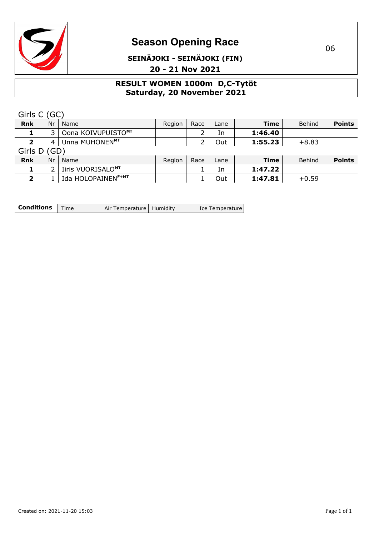

### **SEINÄJOKI - SEINÄJOKI (FIN) 20 - 21 Nov 2021**

#### **RESULT WOMEN 1000m D,C-Tytöt Saturday, 20 November 2021**

|                         | Girls C (GC)  |                                |        |      |      |             |               |               |
|-------------------------|---------------|--------------------------------|--------|------|------|-------------|---------------|---------------|
| <b>Rnk</b>              | Nr            | Name                           | Region | Race | Lane | <b>Time</b> | <b>Behind</b> | <b>Points</b> |
|                         | 3.            | Oona KOIVUPUISTOMT             |        |      | In   | 1:46.40     |               |               |
| $\overline{\mathbf{2}}$ | 4             | Unna MUHONENMT                 |        |      | Out  | 1:55.23     | $+8.83$       |               |
|                         | Girls D (GD)  |                                |        |      |      |             |               |               |
| <b>Rnk</b>              | Nr            | Name                           | Region | Race | Lane | <b>Time</b> | <b>Behind</b> | <b>Points</b> |
|                         | $\mathcal{P}$ | Iiris VUORISALO <sup>MT</sup>  |        |      | In   | 1:47.22     |               |               |
| 2                       |               | Ida HOLOPAINENF <sup>+MT</sup> |        |      | Out  | 1:47.81     | $+0.59$       |               |

| <b>Conditions</b> $\vert$ Time | Air Temperature   Humidity | Ice Temperature |
|--------------------------------|----------------------------|-----------------|
|                                |                            |                 |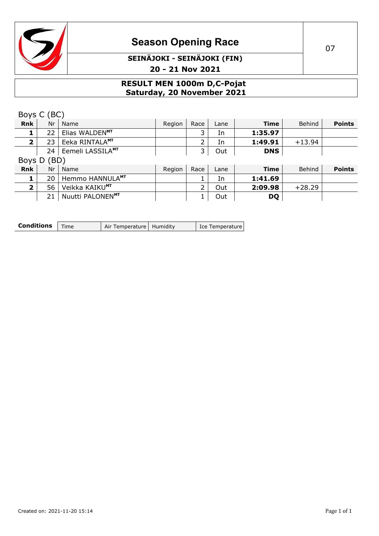

### **SEINÄJOKI - SEINÄJOKI (FIN) 20 - 21 Nov 2021**

#### **RESULT MEN 1000m D,C-Pojat Saturday, 20 November 2021**

|                         | Boys C (BC) |                              |        |      |      |             |          |               |
|-------------------------|-------------|------------------------------|--------|------|------|-------------|----------|---------------|
| <b>Rnk</b>              | Nr          | Name                         | Region | Race | Lane | <b>Time</b> | Behind   | <b>Points</b> |
|                         | 22          | Elias WALDENMT               |        | 3    | In   | 1:35.97     |          |               |
| $\mathbf{2}$            | 23          | Eeka RINTALA <sup>MT</sup>   |        |      | In   | 1:49.91     | $+13.94$ |               |
|                         | 24          | Eemeli LASSILAMT             |        | 3    | Out  | <b>DNS</b>  |          |               |
| Boys D                  | (BD)        |                              |        |      |      |             |          |               |
| <b>Rnk</b>              | Nr          | Name                         | Region | Race | Lane | <b>Time</b> | Behind   | <b>Points</b> |
|                         | 20          | Hemmo HANNULA <sup>MT</sup>  |        |      | In   | 1:41.69     |          |               |
| $\overline{\mathbf{2}}$ | 56          | Veikka KAIKUMT               |        | 2    | Out  | 2:09.98     | $+28.29$ |               |
|                         | 21          | Nuutti PALONEN <sup>MT</sup> |        |      | Out  | <b>DQ</b>   |          |               |

| <b>Conditions</b> $\vert$ Time | Air Temperature   Humidity | Ice Temperature |
|--------------------------------|----------------------------|-----------------|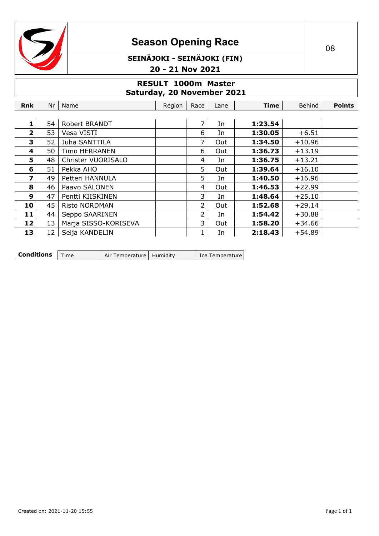

### **SEINÄJOKI - SEINÄJOKI (FIN) 20 - 21 Nov 2021**

#### **RESULT 1000m Master Saturday, 20 November 2021**

| Rnk            | Nr | Name                 | Region | Race | Lane | <b>Time</b> | <b>Behind</b> | <b>Points</b> |
|----------------|----|----------------------|--------|------|------|-------------|---------------|---------------|
|                |    |                      |        |      |      |             |               |               |
| 1              | 54 | Robert BRANDT        |        | 7    | In   | 1:23.54     |               |               |
| $\overline{2}$ | 53 | Vesa VISTI           |        | 6    | In   | 1:30.05     | $+6.51$       |               |
| 3              | 52 | Juha SANTTILA        |        | 7    | Out  | 1:34.50     | $+10.96$      |               |
| 4              | 50 | <b>Timo HERRANEN</b> |        | 6    | Out  | 1:36.73     | $+13.19$      |               |
| 5.             | 48 | Christer VUORISALO   |        | 4    | In   | 1:36.75     | $+13.21$      |               |
| 6              | 51 | Pekka AHO            |        | 5    | Out  | 1:39.64     | $+16.10$      |               |
| 7              | 49 | Petteri HANNULA      |        | 5    | In   | 1:40.50     | $+16.96$      |               |
| 8              | 46 | Paavo SALONEN        |        | 4    | Out  | 1:46.53     | $+22.99$      |               |
| 9              | 47 | Pentti KIISKINEN     |        | 3    | In   | 1:48.64     | $+25.10$      |               |
| 10             | 45 | <b>Risto NORDMAN</b> |        | 2    | Out  | 1:52.68     | $+29.14$      |               |
| 11             | 44 | Seppo SAARINEN       |        | 2    | In   | 1:54.42     | $+30.88$      |               |
| 12             | 13 | Marja SISSO-KORISEVA |        | 3    | Out  | 1:58.20     | $+34.66$      |               |
| 13             | 12 | Seija KANDELIN       |        | 1    | In   | 2:18.43     | $+54.89$      |               |

| <b>Conditions</b>   Time |  | Air Temperature   Humidity |  | Ice Temperature |
|--------------------------|--|----------------------------|--|-----------------|
|--------------------------|--|----------------------------|--|-----------------|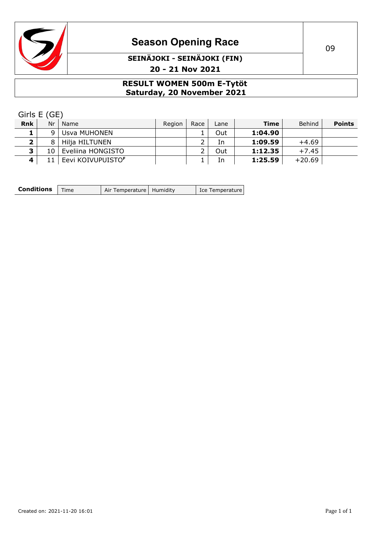

### **SEINÄJOKI - SEINÄJOKI (FIN) 20 - 21 Nov 2021**

#### **RESULT WOMEN 500m E-Tytöt Saturday, 20 November 2021**

Girls E (GE)

| <b>Rnk</b>   | Nr | Name                          | Region | Race | Lane | <b>Time</b> | <b>Behind</b> | <b>Points</b> |
|--------------|----|-------------------------------|--------|------|------|-------------|---------------|---------------|
|              | q  | Usva MUHONEN                  |        |      | Out  | 1:04.90     |               |               |
| ∍            | 8  | Hilja HILTUNEN                |        |      | In   | 1:09.59     | $+4.69$       |               |
| $\mathbf{z}$ | 10 | Eveliina HONGISTO             |        |      | Out  | 1:12.35     | $+7.45$       |               |
| $\mathbf{A}$ |    | Eevi KOIVUPUISTO <sup>F</sup> |        |      | In   | 1:25.59     | $+20.69$      |               |

| <b>Conditions</b> | Time | Air Temperature   Humidity |  | Ice Temperature |
|-------------------|------|----------------------------|--|-----------------|
|-------------------|------|----------------------------|--|-----------------|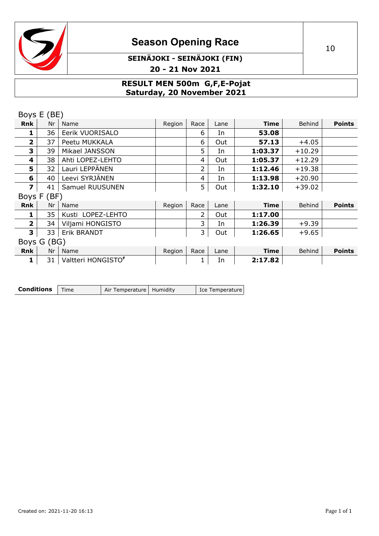

# **Season Opening Race** 2022 10

### **SEINÄJOKI - SEINÄJOKI (FIN) 20 - 21 Nov 2021**

#### **RESULT MEN 500m G,F,E-Pojat Saturday, 20 November 2021**

|                         | Boys E (BE) |                                |        |                |      |             |               |               |
|-------------------------|-------------|--------------------------------|--------|----------------|------|-------------|---------------|---------------|
| Rnk                     | Nr          | Name                           | Region | Race           | Lane | <b>Time</b> | <b>Behind</b> | <b>Points</b> |
| 1                       | 36          | Eerik VUORISALO                |        | 6              | In   | 53.08       |               |               |
| $\overline{\mathbf{2}}$ | 37          | Peetu MUKKALA                  |        | 6              | Out  | 57.13       | $+4.05$       |               |
| 3                       | 39          | Mikael JANSSON                 |        | 5              | In   | 1:03.37     | $+10.29$      |               |
| 4                       | 38          | Ahti LOPEZ-LEHTO               |        | 4              | Out  | 1:05.37     | $+12.29$      |               |
| 5                       | 32          | Lauri LEPPÄNEN                 |        | $\overline{2}$ | In   | 1:12.46     | $+19.38$      |               |
| 6                       | 40          | Leevi SYRJÄNEN                 |        | 4              | In   | 1:13.98     | $+20.90$      |               |
| $\overline{\mathbf{z}}$ | 41          | Samuel RUUSUNEN                |        | 5              | Out  | 1:32.10     | $+39.02$      |               |
|                         | Boys F (BF) |                                |        |                |      |             |               |               |
| Rnk                     | Nr          | Name                           | Region | Race           | Lane | <b>Time</b> | Behind        | <b>Points</b> |
| 1                       | 35          | Kusti LOPEZ-LEHTO              |        | $\overline{2}$ | Out  | 1:17.00     |               |               |
| $\overline{2}$          | 34          | Viljami HONGISTO               |        | 3              | In   | 1:26.39     | $+9.39$       |               |
| 3                       | 33          | Erik BRANDT                    |        | 3              | Out  | 1:26.65     | $+9.65$       |               |
|                         | Boys G (BG) |                                |        |                |      |             |               |               |
| <b>Rnk</b>              | Nr          | Name                           | Region | Race           | Lane | <b>Time</b> | Behind        | <b>Points</b> |
| 1                       | 31          | Valtteri HONGISTO <sup>F</sup> |        |                | In   | 2:17.82     |               |               |

| <b>Conditions</b>   Time |  | Air Temperature   Humidity |  | Ice Temperature |
|--------------------------|--|----------------------------|--|-----------------|
|--------------------------|--|----------------------------|--|-----------------|